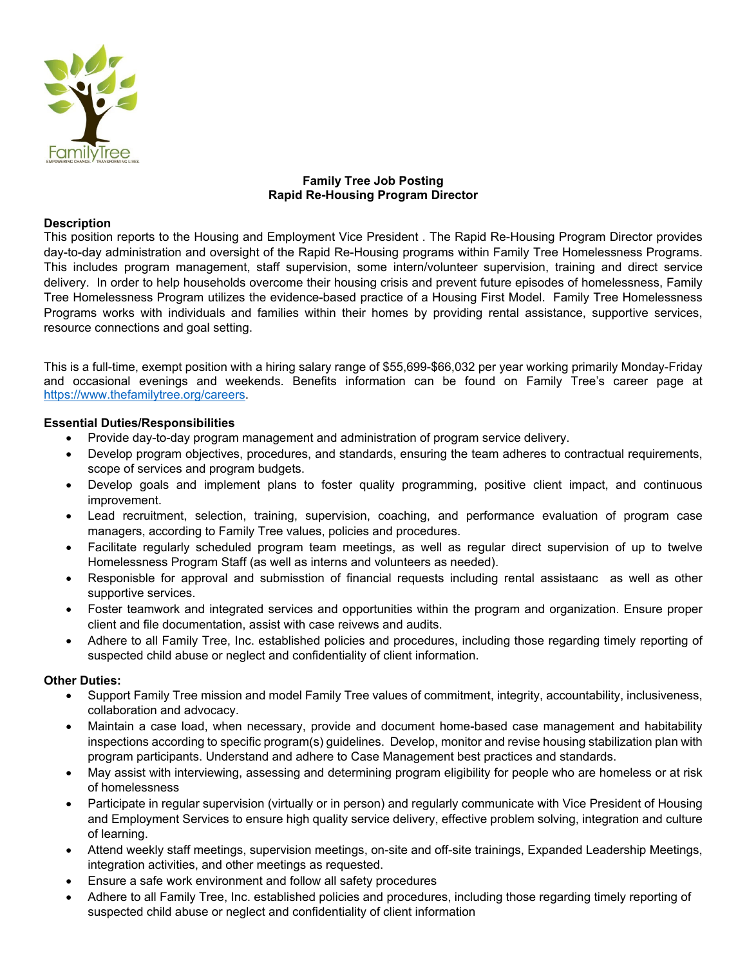

# **Family Tree Job Posting Rapid Re-Housing Program Director**

### **Description**

This position reports to the Housing and Employment Vice President . The Rapid Re-Housing Program Director provides day-to-day administration and oversight of the Rapid Re-Housing programs within Family Tree Homelessness Programs. This includes program management, staff supervision, some intern/volunteer supervision, training and direct service delivery. In order to help households overcome their housing crisis and prevent future episodes of homelessness, Family Tree Homelessness Program utilizes the evidence-based practice of a Housing First Model. Family Tree Homelessness Programs works with individuals and families within their homes by providing rental assistance, supportive services, resource connections and goal setting.

This is a full-time, exempt position with a hiring salary range of \$55,699-\$66,032 per year working primarily Monday-Friday and occasional evenings and weekends. Benefits information can be found on Family Tree's career page at https://www.thefamilytree.org/careers.

### **Essential Duties/Responsibilities**

- Provide day-to-day program management and administration of program service delivery.
- Develop program objectives, procedures, and standards, ensuring the team adheres to contractual requirements, scope of services and program budgets.
- Develop goals and implement plans to foster quality programming, positive client impact, and continuous improvement.
- Lead recruitment, selection, training, supervision, coaching, and performance evaluation of program case managers, according to Family Tree values, policies and procedures.
- Facilitate regularly scheduled program team meetings, as well as regular direct supervision of up to twelve Homelessness Program Staff (as well as interns and volunteers as needed).
- Responisble for approval and submisstion of financial requests including rental assistaanc as well as other supportive services.
- Foster teamwork and integrated services and opportunities within the program and organization. Ensure proper client and file documentation, assist with case reivews and audits.
- Adhere to all Family Tree, Inc. established policies and procedures, including those regarding timely reporting of suspected child abuse or neglect and confidentiality of client information.

## **Other Duties:**

- Support Family Tree mission and model Family Tree values of commitment, integrity, accountability, inclusiveness, collaboration and advocacy.
- Maintain a case load, when necessary, provide and document home-based case management and habitability inspections according to specific program(s) guidelines. Develop, monitor and revise housing stabilization plan with program participants. Understand and adhere to Case Management best practices and standards.
- May assist with interviewing, assessing and determining program eligibility for people who are homeless or at risk of homelessness
- Participate in regular supervision (virtually or in person) and regularly communicate with Vice President of Housing and Employment Services to ensure high quality service delivery, effective problem solving, integration and culture of learning.
- Attend weekly staff meetings, supervision meetings, on-site and off-site trainings, Expanded Leadership Meetings, integration activities, and other meetings as requested.
- Ensure a safe work environment and follow all safety procedures
- Adhere to all Family Tree, Inc. established policies and procedures, including those regarding timely reporting of suspected child abuse or neglect and confidentiality of client information